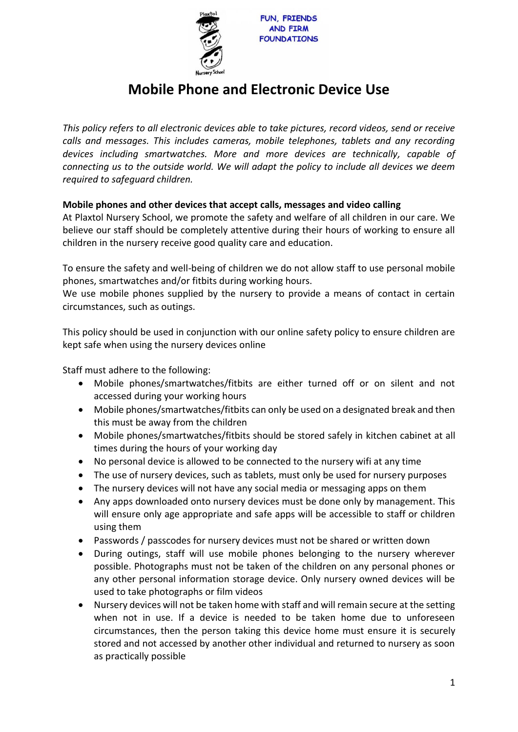

# **Mobile Phone and Electronic Device Use**

*This policy refers to all electronic devices able to take pictures, record videos, send or receive calls and messages. This includes cameras, mobile telephones, tablets and any recording devices including smartwatches. More and more devices are technically, capable of connecting us to the outside world. We will adapt the policy to include all devices we deem required to safeguard children.* 

## **Mobile phones and other devices that accept calls, messages and video calling**

At Plaxtol Nursery School, we promote the safety and welfare of all children in our care. We believe our staff should be completely attentive during their hours of working to ensure all children in the nursery receive good quality care and education.

To ensure the safety and well-being of children we do not allow staff to use personal mobile phones, smartwatches and/or fitbits during working hours.

We use mobile phones supplied by the nursery to provide a means of contact in certain circumstances, such as outings.

This policy should be used in conjunction with our online safety policy to ensure children are kept safe when using the nursery devices online

Staff must adhere to the following:

- Mobile phones/smartwatches/fitbits are either turned off or on silent and not accessed during your working hours
- Mobile phones/smartwatches/fitbits can only be used on a designated break and then this must be away from the children
- Mobile phones/smartwatches/fitbits should be stored safely in kitchen cabinet at all times during the hours of your working day
- No personal device is allowed to be connected to the nursery wifi at any time
- The use of nursery devices, such as tablets, must only be used for nursery purposes
- The nursery devices will not have any social media or messaging apps on them
- Any apps downloaded onto nursery devices must be done only by management. This will ensure only age appropriate and safe apps will be accessible to staff or children using them
- Passwords / passcodes for nursery devices must not be shared or written down
- During outings, staff will use mobile phones belonging to the nursery wherever possible. Photographs must not be taken of the children on any personal phones or any other personal information storage device. Only nursery owned devices will be used to take photographs or film videos
- Nursery devices will not be taken home with staff and will remain secure at the setting when not in use. If a device is needed to be taken home due to unforeseen circumstances, then the person taking this device home must ensure it is securely stored and not accessed by another other individual and returned to nursery as soon as practically possible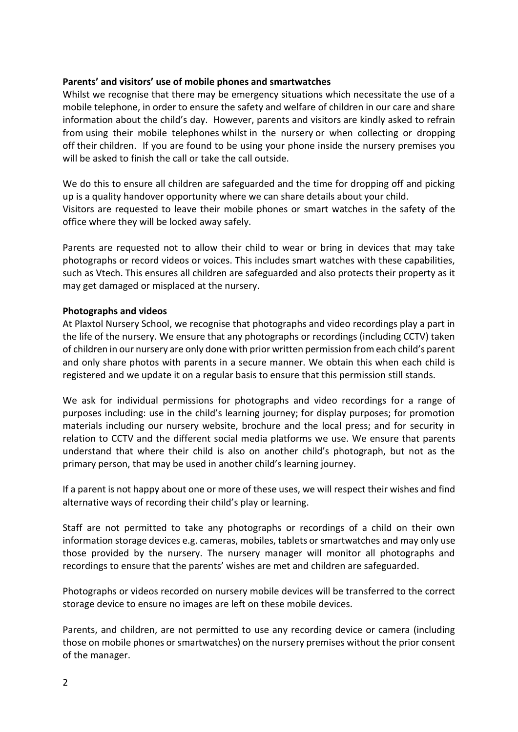### **Parents' and visitors' use of mobile phones and smartwatches**

Whilst we recognise that there may be emergency situations which necessitate the use of a mobile telephone, in order to ensure the safety and welfare of children in our care and share information about the child's day. However, parents and visitors are kindly asked to refrain from using their mobile telephones whilst in the nursery or when collecting or dropping off their children. If you are found to be using your phone inside the nursery premises you will be asked to finish the call or take the call outside.

We do this to ensure all children are safeguarded and the time for dropping off and picking up is a quality handover opportunity where we can share details about your child. Visitors are requested to leave their mobile phones or smart watches in the safety of the office where they will be locked away safely.

Parents are requested not to allow their child to wear or bring in devices that may take photographs or record videos or voices. This includes smart watches with these capabilities, such as Vtech. This ensures all children are safeguarded and also protects their property as it may get damaged or misplaced at the nursery.

### **Photographs and videos**

At Plaxtol Nursery School, we recognise that photographs and video recordings play a part in the life of the nursery. We ensure that any photographs or recordings (including CCTV) taken of children in our nursery are only done with prior written permission from each child's parent and only share photos with parents in a secure manner. We obtain this when each child is registered and we update it on a regular basis to ensure that this permission still stands.

We ask for individual permissions for photographs and video recordings for a range of purposes including: use in the child's learning journey; for display purposes; for promotion materials including our nursery website, brochure and the local press; and for security in relation to CCTV and the different social media platforms we use. We ensure that parents understand that where their child is also on another child's photograph, but not as the primary person, that may be used in another child's learning journey.

If a parent is not happy about one or more of these uses, we will respect their wishes and find alternative ways of recording their child's play or learning.

Staff are not permitted to take any photographs or recordings of a child on their own information storage devices e.g. cameras, mobiles, tablets or smartwatches and may only use those provided by the nursery. The nursery manager will monitor all photographs and recordings to ensure that the parents' wishes are met and children are safeguarded.

Photographs or videos recorded on nursery mobile devices will be transferred to the correct storage device to ensure no images are left on these mobile devices.

Parents, and children, are not permitted to use any recording device or camera (including those on mobile phones or smartwatches) on the nursery premises without the prior consent of the manager.